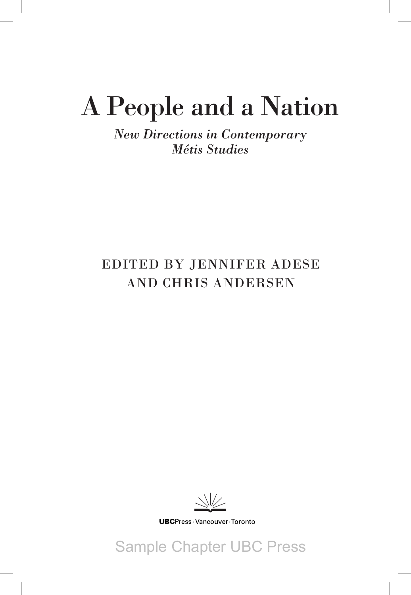# A People and a Nation

*New Directions in Contemporary Métis Studies*

### EDITED BY JENNIFER ADESE AND CHRIS ANDERSEN



**UBC**Press Vancouver Toronto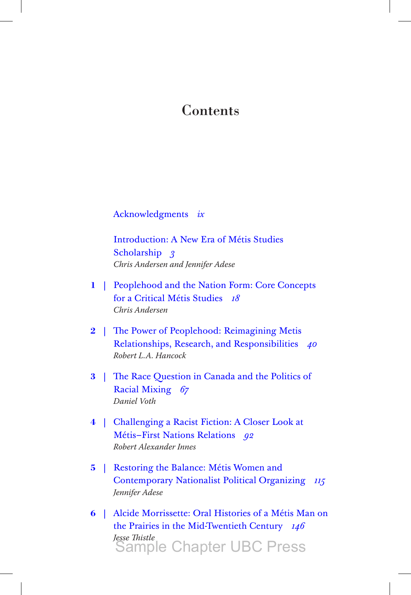#### <span id="page-1-0"></span>**Contents**

Acknowledgments *ix*

[Introduction: A New Era of Métis Studies](#page-3-0)  Scholarship *3 Chris Andersen and Jennifer Adese*

- **1** | Peoplehood and the Nation Form: Core Concepts for a Critical Métis Studies *18 Chris Andersen*
- **2** | The Power of Peoplehood: Reimagining Metis Relationships, Research, and Responsibilities *40 Robert L.A. Hancock*
- **3** | The Race Question in Canada and the Politics of Racial Mixing *67 Daniel Voth*
- **4** | Challenging a Racist Fiction: A Closer Look at Métis–First Nations Relations *92 Robert Alexander Innes*
- **5** | Restoring the Balance: Métis Women and Contemporary Nationalist Political Organizing *115 Jennifer Adese*
- **6** | Alcide Morrissette: Oral Histories of a Métis Man on the Prairies in the Mid-Twentieth Century *146 Jesse Thistle* Sample Chapter UBC Press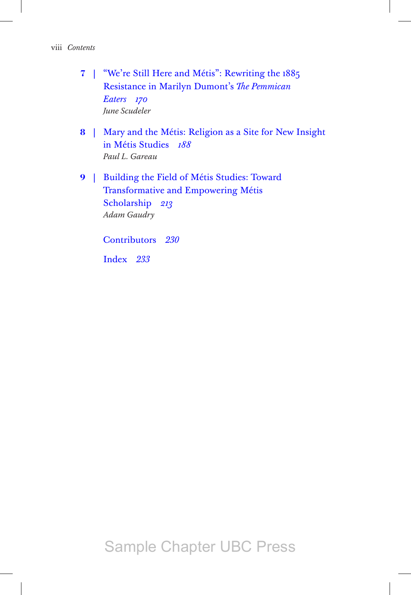- **7** | "We're Still Here and Métis": Rewriting the 1885 Resistance in Marilyn Dumont's *The Pemmican Eaters 170 June Scudeler*
- **8** | Mary and the Métis: Religion as a Site for New Insight in Métis Studies *188 Paul L. Gareau*
- **9** | Building the Field of Métis Studies: Toward Transformative and Empowering Métis Scholarship *213 Adam Gaudry*

Contributors *230*

Index *233*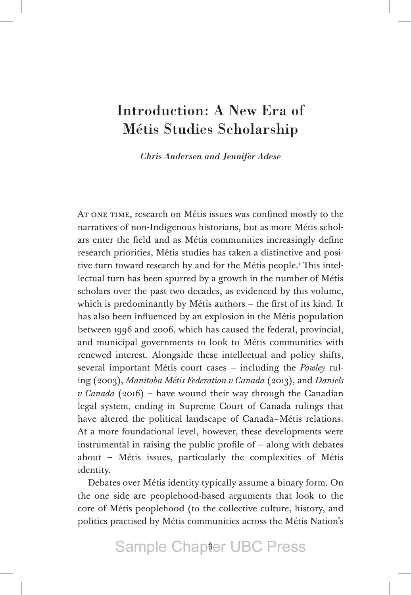#### <span id="page-3-0"></span>[Introduction: A New Era of](#page-1-0)  Métis Studies Scholarship

*Chris Andersen and Jennifer Adese*

AT ONE TIME, research on Métis issues was confined mostly to the narratives of non-Indigenous historians, but as more Métis scholars enter the field and as Métis communities increasingly define research priorities, Métis studies has taken a distinctive and positive turn toward research by and for the Métis people.<sup>1</sup> This intellectual turn has been spurred by a growth in the number of Métis scholars over the past two decades, as evidenced by this volume, which is predominantly by Métis authors – the first of its kind. It has also been influenced by an explosion in the Métis population between 1996 and 2006, which has caused the federal, provincial, and municipal governments to look to Métis communities with renewed interest. Alongside these intellectual and policy shifts, several important Métis court cases – including the *Powley* ruling (2003), *Manitoba Métis Federation v Canada* (2013), and *Daniels v Canada* (2016) – have wound their way through the Canadian legal system, ending in Supreme Court of Canada rulings that have altered the political landscape of Canada–Métis relations. At a more foundational level, however, these developments were instrumental in raising the public profile of – along with debates about – Métis issues, particularly the complexities of Métis identity.

Debates over Métis identity typically assume a binary form. On the one side are peoplehood-based arguments that look to the core of Métis peoplehood (to the collective culture, history, and politics practised by Métis communities across the Métis Nation's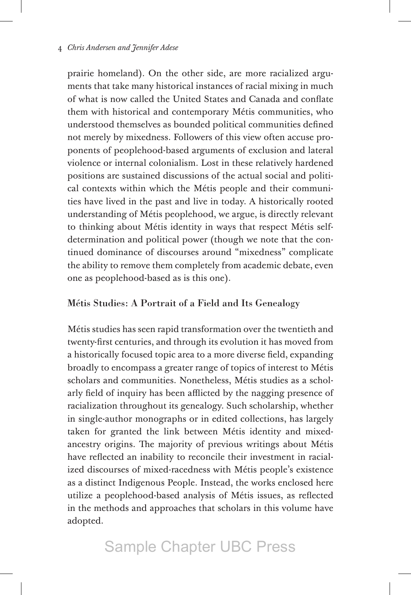prairie homeland). On the other side, are more racialized arguments that take many historical instances of racial mixing in much of what is now called the United States and Canada and conflate them with historical and contemporary Métis communities, who understood themselves as bounded political communities defined not merely by mixedness. Followers of this view often accuse proponents of peoplehood-based arguments of exclusion and lateral violence or internal colonialism. Lost in these relatively hardened positions are sustained discussions of the actual social and political contexts within which the Métis people and their communities have lived in the past and live in today. A historically rooted understanding of Métis peoplehood, we argue, is directly relevant to thinking about Métis identity in ways that respect Métis selfdetermination and political power (though we note that the continued dominance of discourses around "mixedness" complicate the ability to remove them completely from academic debate, even one as peoplehood-based as is this one).

#### Métis Studies: A Portrait of a Field and Its Genealogy

Métis studies has seen rapid transformation over the twentieth and twenty-first centuries, and through its evolution it has moved from a historically focused topic area to a more diverse field, expanding broadly to encompass a greater range of topics of interest to Métis scholars and communities. Nonetheless, Métis studies as a scholarly field of inquiry has been afflicted by the nagging presence of racialization throughout its genealogy. Such scholarship, whether in single-author monographs or in edited collections, has largely taken for granted the link between Métis identity and mixedancestry origins. The majority of previous writings about Métis have reflected an inability to reconcile their investment in racialized discourses of mixed-racedness with Métis people's existence as a distinct Indigenous People. Instead, the works enclosed here utilize a peoplehood-based analysis of Métis issues, as reflected in the methods and approaches that scholars in this volume have adopted.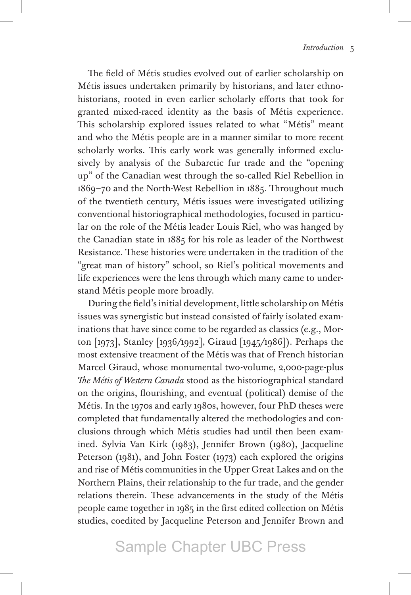The field of Métis studies evolved out of earlier scholarship on Métis issues undertaken primarily by historians, and later ethnohistorians, rooted in even earlier scholarly efforts that took for granted mixed-raced identity as the basis of Métis experience. This scholarship explored issues related to what "Métis" meant and who the Métis people are in a manner similar to more recent scholarly works. This early work was generally informed exclusively by analysis of the Subarctic fur trade and the "opening up" of the Canadian west through the so-called Riel Rebellion in 1869–70 and the North-West Rebellion in 1885. Throughout much of the twentieth century, Métis issues were investigated utilizing conventional historiographical methodologies, focused in particular on the role of the Métis leader Louis Riel, who was hanged by the Canadian state in 1885 for his role as leader of the Northwest Resistance. These histories were undertaken in the tradition of the "great man of history" school, so Riel's political movements and life experiences were the lens through which many came to understand Métis people more broadly.

During the field's initial development, little scholarship on Métis issues was synergistic but instead consisted of fairly isolated examinations that have since come to be regarded as classics (e.g., Morton [1973], Stanley [1936/1992], Giraud [1945/1986]). Perhaps the most extensive treatment of the Métis was that of French historian Marcel Giraud, whose monumental two-volume, 2,000-page-plus *The Métis of Western Canada* stood as the historiographical standard on the origins, flourishing, and eventual (political) demise of the Métis. In the 1970s and early 1980s, however, four PhD theses were completed that fundamentally altered the methodologies and conclusions through which Métis studies had until then been examined. Sylvia Van Kirk (1983), Jennifer Brown (1980), Jacqueline Peterson (1981), and John Foster (1973) each explored the origins and rise of Métis communities in the Upper Great Lakes and on the Northern Plains, their relationship to the fur trade, and the gender relations therein. These advancements in the study of the Métis people came together in 1985 in the first edited collection on Métis studies, coedited by Jacqueline Peterson and Jennifer Brown and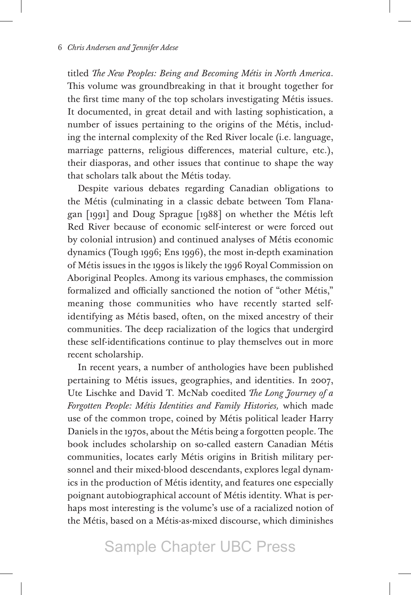titled *The New Peoples: Being and Becoming Métis in North America*. This volume was groundbreaking in that it brought together for the first time many of the top scholars investigating Métis issues. It documented, in great detail and with lasting sophistication, a number of issues pertaining to the origins of the Métis, including the internal complexity of the Red River locale (i.e. language, marriage patterns, religious differences, material culture, etc.), their diasporas, and other issues that continue to shape the way that scholars talk about the Métis today.

Despite various debates regarding Canadian obligations to the Métis (culminating in a classic debate between Tom Flanagan [1991] and Doug Sprague [1988] on whether the Métis left Red River because of economic self-interest or were forced out by colonial intrusion) and continued analyses of Métis economic dynamics (Tough 1996; Ens 1996), the most in-depth examination of Métis issues in the 1990s is likely the 1996 Royal Commission on Aboriginal Peoples. Among its various emphases, the commission formalized and officially sanctioned the notion of "other Métis," meaning those communities who have recently started selfidentifying as Métis based, often, on the mixed ancestry of their communities. The deep racialization of the logics that undergird these self-identifications continue to play themselves out in more recent scholarship.

In recent years, a number of anthologies have been published pertaining to Métis issues, geographies, and identities. In 2007, Ute Lischke and David T. McNab coedited *The Long Journey of a Forgotten People: Métis Identities and Family Histories,* which made use of the common trope, coined by Métis political leader Harry Daniels in the 1970s, about the Métis being a forgotten people. The book includes scholarship on so-called eastern Canadian Métis communities, locates early Métis origins in British military personnel and their mixed-blood descendants, explores legal dynamics in the production of Métis identity, and features one especially poignant autobiographical account of Métis identity. What is perhaps most interesting is the volume's use of a racialized notion of the Métis, based on a Métis-as-mixed discourse, which diminishes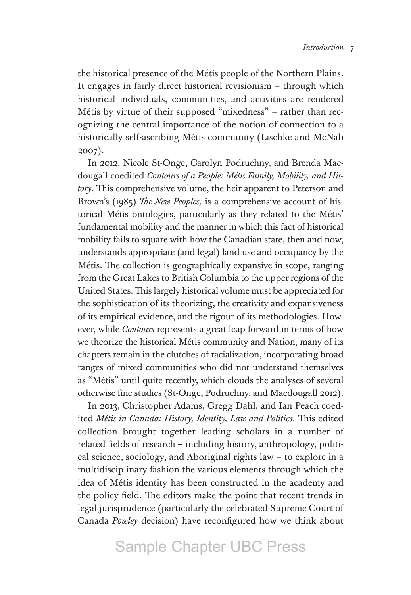the historical presence of the Métis people of the Northern Plains. It engages in fairly direct historical revisionism – through which historical individuals, communities, and activities are rendered Métis by virtue of their supposed "mixedness" – rather than recognizing the central importance of the notion of connection to a historically self-ascribing Métis community (Lischke and McNab 2007).

In 2012, Nicole St-Onge, Carolyn Podruchny, and Brenda Macdougall coedited *Contours of a People: Métis Family, Mobility, and History*. This comprehensive volume, the heir apparent to Peterson and Brown's (1985) *The New Peoples,* is a comprehensive account of historical Métis ontologies, particularly as they related to the Métis' fundamental mobility and the manner in which this fact of historical mobility fails to square with how the Canadian state, then and now, understands appropriate (and legal) land use and occupancy by the Métis. The collection is geographically expansive in scope, ranging from the Great Lakes to British Columbia to the upper regions of the United States. This largely historical volume must be appreciated for the sophistication of its theorizing, the creativity and expansiveness of its empirical evidence, and the rigour of its methodologies. However, while *Contours* represents a great leap forward in terms of how we theorize the historical Métis community and Nation, many of its chapters remain in the clutches of racialization, incorporating broad ranges of mixed communities who did not understand themselves as "Métis" until quite recently, which clouds the analyses of several otherwise fine studies (St-Onge, Podruchny, and Macdougall 2012).

In 2013, Christopher Adams, Gregg Dahl, and Ian Peach coedited *Métis in Canada: History, Identity, Law and Politics*. This edited collection brought together leading scholars in a number of related fields of research – including history, anthropology, political science, sociology, and Aboriginal rights law – to explore in a multidisciplinary fashion the various elements through which the idea of Métis identity has been constructed in the academy and the policy field. The editors make the point that recent trends in legal jurisprudence (particularly the celebrated Supreme Court of Canada *Powley* decision) have reconfigured how we think about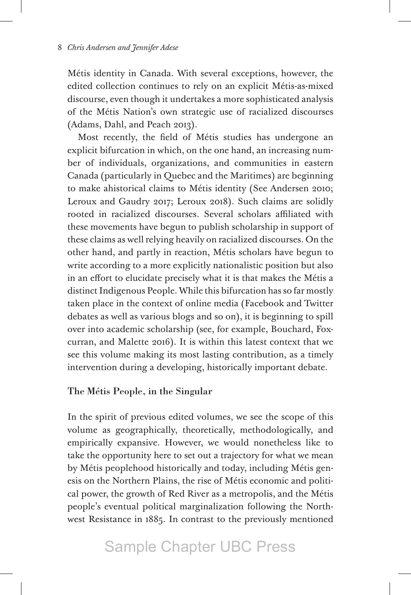Métis identity in Canada. With several exceptions, however, the edited collection continues to rely on an explicit Métis-as-mixed discourse, even though it undertakes a more sophisticated analysis of the Métis Nation's own strategic use of racialized discourses (Adams, Dahl, and Peach 2013).

Most recently, the field of Métis studies has undergone an explicit bifurcation in which, on the one hand, an increasing number of individuals, organizations, and communities in eastern Canada (particularly in Quebec and the Maritimes) are beginning to make ahistorical claims to Métis identity (See Andersen 2010; Leroux and Gaudry 2017; Leroux 2018). Such claims are solidly rooted in racialized discourses. Several scholars affiliated with these movements have begun to publish scholarship in support of these claims as well relying heavily on racialized discourses. On the other hand, and partly in reaction, Métis scholars have begun to write according to a more explicitly nationalistic position but also in an effort to elucidate precisely what it is that makes the Métis a distinct Indigenous People. While this bifurcation has so far mostly taken place in the context of online media (Facebook and Twitter debates as well as various blogs and so on), it is beginning to spill over into academic scholarship (see, for example, Bouchard, Foxcurran, and Malette 2016). It is within this latest context that we see this volume making its most lasting contribution, as a timely intervention during a developing, historically important debate.

#### The Métis People, in the Singular

In the spirit of previous edited volumes, we see the scope of this volume as geographically, theoretically, methodologically, and empirically expansive. However, we would nonetheless like to take the opportunity here to set out a trajectory for what we mean by Métis peoplehood historically and today, including Métis genesis on the Northern Plains, the rise of Métis economic and political power, the growth of Red River as a metropolis, and the Métis people's eventual political marginalization following the Northwest Resistance in 1885. In contrast to the previously mentioned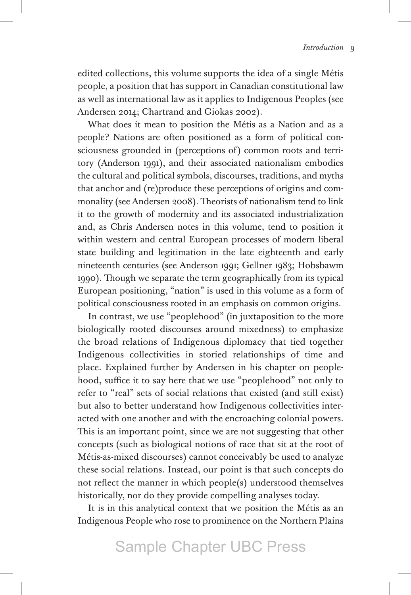edited collections, this volume supports the idea of a single Métis people, a position that has support in Canadian constitutional law as well as international law as it applies to Indigenous Peoples (see Andersen 2014; Chartrand and Giokas 2002).

What does it mean to position the Métis as a Nation and as a people? Nations are often positioned as a form of political consciousness grounded in (perceptions of) common roots and territory (Anderson 1991), and their associated nationalism embodies the cultural and political symbols, discourses, traditions, and myths that anchor and (re)produce these perceptions of origins and commonality (see Andersen 2008). Theorists of nationalism tend to link it to the growth of modernity and its associated industrialization and, as Chris Andersen notes in this volume, tend to position it within western and central European processes of modern liberal state building and legitimation in the late eighteenth and early nineteenth centuries (see Anderson 1991; Gellner 1983; Hobsbawm 1990). Though we separate the term geographically from its typical European positioning, "nation" is used in this volume as a form of political consciousness rooted in an emphasis on common origins.

In contrast, we use "peoplehood" (in juxtaposition to the more biologically rooted discourses around mixedness) to emphasize the broad relations of Indigenous diplomacy that tied together Indigenous collectivities in storied relationships of time and place. Explained further by Andersen in his chapter on peoplehood, suffice it to say here that we use "peoplehood" not only to refer to "real" sets of social relations that existed (and still exist) but also to better understand how Indigenous collectivities interacted with one another and with the encroaching colonial powers. This is an important point, since we are not suggesting that other concepts (such as biological notions of race that sit at the root of Métis-as-mixed discourses) cannot conceivably be used to analyze these social relations. Instead, our point is that such concepts do not reflect the manner in which people(s) understood themselves historically, nor do they provide compelling analyses today.

It is in this analytical context that we position the Métis as an Indigenous People who rose to prominence on the Northern Plains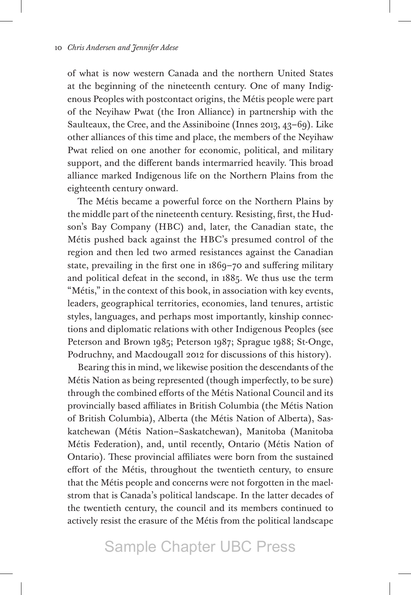of what is now western Canada and the northern United States at the beginning of the nineteenth century. One of many Indigenous Peoples with postcontact origins, the Métis people were part of the Neyihaw Pwat (the Iron Alliance) in partnership with the Saulteaux, the Cree, and the Assiniboine (Innes 2013, 43–69). Like other alliances of this time and place, the members of the Neyihaw Pwat relied on one another for economic, political, and military support, and the different bands intermarried heavily. This broad alliance marked Indigenous life on the Northern Plains from the eighteenth century onward.

The Métis became a powerful force on the Northern Plains by the middle part of the nineteenth century. Resisting, first, the Hudson's Bay Company (HBC) and, later, the Canadian state, the Métis pushed back against the HBC's presumed control of the region and then led two armed resistances against the Canadian state, prevailing in the first one in 1869–70 and suffering military and political defeat in the second, in 1885. We thus use the term "Métis," in the context of this book, in association with key events, leaders, geographical territories, economies, land tenures, artistic styles, languages, and perhaps most importantly, kinship connections and diplomatic relations with other Indigenous Peoples (see Peterson and Brown 1985; Peterson 1987; Sprague 1988; St-Onge, Podruchny, and Macdougall 2012 for discussions of this history).

Bearing this in mind, we likewise position the descendants of the Métis Nation as being represented (though imperfectly, to be sure) through the combined efforts of the Métis National Council and its provincially based affiliates in British Columbia (the Métis Nation of British Columbia), Alberta (the Métis Nation of Alberta), Saskatchewan (Métis Nation–Saskatchewan), Manitoba (Manitoba Métis Federation), and, until recently, Ontario (Métis Nation of Ontario). These provincial affiliates were born from the sustained effort of the Métis, throughout the twentieth century, to ensure that the Métis people and concerns were not forgotten in the maelstrom that is Canada's political landscape. In the latter decades of the twentieth century, the council and its members continued to actively resist the erasure of the Métis from the political landscape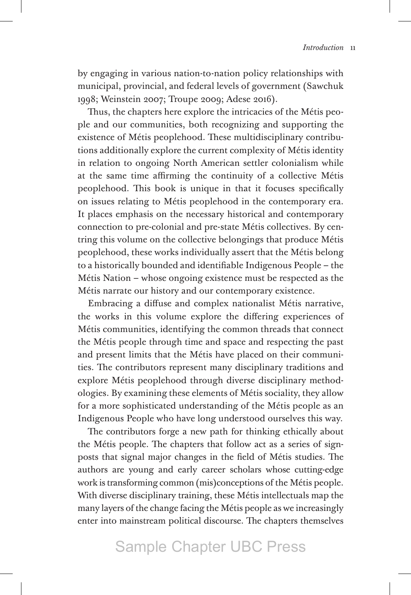by engaging in various nation-to-nation policy relationships with municipal, provincial, and federal levels of government (Sawchuk 1998; Weinstein 2007; Troupe 2009; Adese 2016).

Thus, the chapters here explore the intricacies of the Métis people and our communities, both recognizing and supporting the existence of Métis peoplehood. These multidisciplinary contributions additionally explore the current complexity of Métis identity in relation to ongoing North American settler colonialism while at the same time affirming the continuity of a collective Métis peoplehood. This book is unique in that it focuses specifically on issues relating to Métis peoplehood in the contemporary era. It places emphasis on the necessary historical and contemporary connection to pre-colonial and pre-state Métis collectives. By centring this volume on the collective belongings that produce Métis peoplehood, these works individually assert that the Métis belong to a historically bounded and identifiable Indigenous People – the Métis Nation – whose ongoing existence must be respected as the Métis narrate our history and our contemporary existence.

Embracing a diffuse and complex nationalist Métis narrative, the works in this volume explore the differing experiences of Métis communities, identifying the common threads that connect the Métis people through time and space and respecting the past and present limits that the Métis have placed on their communities. The contributors represent many disciplinary traditions and explore Métis peoplehood through diverse disciplinary methodologies. By examining these elements of Métis sociality, they allow for a more sophisticated understanding of the Métis people as an Indigenous People who have long understood ourselves this way.

The contributors forge a new path for thinking ethically about the Métis people. The chapters that follow act as a series of signposts that signal major changes in the field of Métis studies. The authors are young and early career scholars whose cutting-edge work is transforming common (mis)conceptions of the Métis people. With diverse disciplinary training, these Métis intellectuals map the many layers of the change facing the Métis people as we increasingly enter into mainstream political discourse. The chapters themselves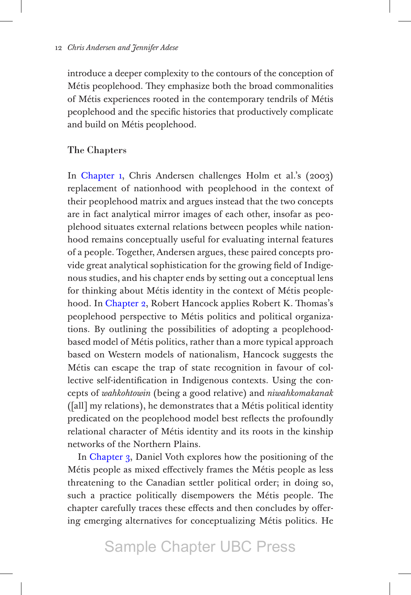introduce a deeper complexity to the contours of the conception of Métis peoplehood. They emphasize both the broad commonalities of Métis experiences rooted in the contemporary tendrils of Métis peoplehood and the specific histories that productively complicate and build on Métis peoplehood.

#### The Chapters

In Chapter 1, Chris Andersen challenges Holm et al.'s (2003) replacement of nationhood with peoplehood in the context of their peoplehood matrix and argues instead that the two concepts are in fact analytical mirror images of each other, insofar as peoplehood situates external relations between peoples while nationhood remains conceptually useful for evaluating internal features of a people. Together, Andersen argues, these paired concepts provide great analytical sophistication for the growing field of Indigenous studies, and his chapter ends by setting out a conceptual lens for thinking about Métis identity in the context of Métis peoplehood. In Chapter 2, Robert Hancock applies Robert K. Thomas's peoplehood perspective to Métis politics and political organizations. By outlining the possibilities of adopting a peoplehoodbased model of Métis politics, rather than a more typical approach based on Western models of nationalism, Hancock suggests the Métis can escape the trap of state recognition in favour of collective self-identification in Indigenous contexts. Using the concepts of *wahkohtowin* (being a good relative) and *niwahkomakanak* ([all] my relations), he demonstrates that a Métis political identity predicated on the peoplehood model best reflects the profoundly relational character of Métis identity and its roots in the kinship networks of the Northern Plains.

In Chapter 3, Daniel Voth explores how the positioning of the Métis people as mixed effectively frames the Métis people as less threatening to the Canadian settler political order; in doing so, such a practice politically disempowers the Métis people. The chapter carefully traces these effects and then concludes by offering emerging alternatives for conceptualizing Métis politics. He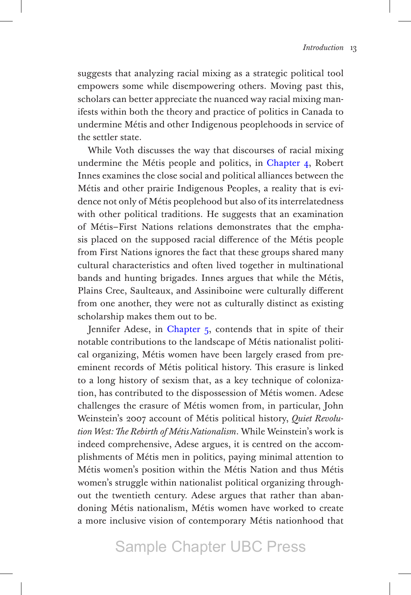suggests that analyzing racial mixing as a strategic political tool empowers some while disempowering others. Moving past this, scholars can better appreciate the nuanced way racial mixing manifests within both the theory and practice of politics in Canada to undermine Métis and other Indigenous peoplehoods in service of the settler state.

While Voth discusses the way that discourses of racial mixing undermine the Métis people and politics, in Chapter 4, Robert Innes examines the close social and political alliances between the Métis and other prairie Indigenous Peoples, a reality that is evidence not only of Métis peoplehood but also of its interrelatedness with other political traditions. He suggests that an examination of Métis–First Nations relations demonstrates that the emphasis placed on the supposed racial difference of the Métis people from First Nations ignores the fact that these groups shared many cultural characteristics and often lived together in multinational bands and hunting brigades. Innes argues that while the Métis, Plains Cree, Saulteaux, and Assiniboine were culturally different from one another, they were not as culturally distinct as existing scholarship makes them out to be.

Jennifer Adese, in Chapter 5, contends that in spite of their notable contributions to the landscape of Métis nationalist political organizing, Métis women have been largely erased from preeminent records of Métis political history. This erasure is linked to a long history of sexism that, as a key technique of colonization, has contributed to the dispossession of Métis women. Adese challenges the erasure of Métis women from, in particular, John Weinstein's 2007 account of Métis political history, *Quiet Revolution West: The Rebirth of Métis Nationalism*. While Weinstein's work is indeed comprehensive, Adese argues, it is centred on the accomplishments of Métis men in politics, paying minimal attention to Métis women's position within the Métis Nation and thus Métis women's struggle within nationalist political organizing throughout the twentieth century. Adese argues that rather than abandoning Métis nationalism, Métis women have worked to create a more inclusive vision of contemporary Métis nationhood that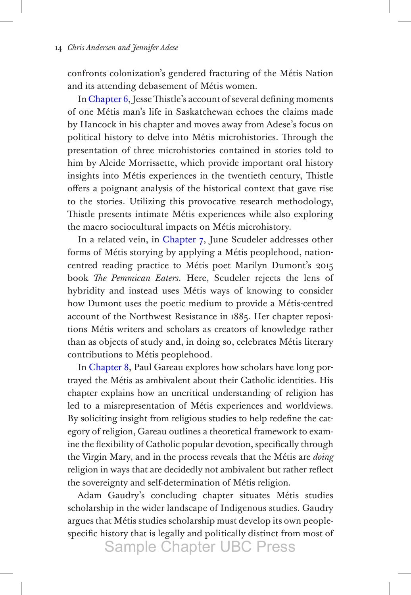confronts colonization's gendered fracturing of the Métis Nation and its attending debasement of Métis women.

In Chapter 6, Jesse Thistle's account of several defining moments of one Métis man's life in Saskatchewan echoes the claims made by Hancock in his chapter and moves away from Adese's focus on political history to delve into Métis microhistories. Through the presentation of three microhistories contained in stories told to him by Alcide Morrissette, which provide important oral history insights into Métis experiences in the twentieth century, Thistle offers a poignant analysis of the historical context that gave rise to the stories. Utilizing this provocative research methodology, Thistle presents intimate Métis experiences while also exploring the macro sociocultural impacts on Métis microhistory.

In a related vein, in Chapter 7, June Scudeler addresses other forms of Métis storying by applying a Métis peoplehood, nationcentred reading practice to Métis poet Marilyn Dumont's 2015 book *The Pemmican Eaters*. Here, Scudeler rejects the lens of hybridity and instead uses Métis ways of knowing to consider how Dumont uses the poetic medium to provide a Métis-centred account of the Northwest Resistance in 1885. Her chapter repositions Métis writers and scholars as creators of knowledge rather than as objects of study and, in doing so, celebrates Métis literary contributions to Métis peoplehood.

In Chapter 8, Paul Gareau explores how scholars have long portrayed the Métis as ambivalent about their Catholic identities. His chapter explains how an uncritical understanding of religion has led to a misrepresentation of Métis experiences and worldviews. By soliciting insight from religious studies to help redefine the category of religion, Gareau outlines a theoretical framework to examine the flexibility of Catholic popular devotion, specifically through the Virgin Mary, and in the process reveals that the Métis are *doing* religion in ways that are decidedly not ambivalent but rather reflect the sovereignty and self-determination of Métis religion.

Adam Gaudry's concluding chapter situates Métis studies scholarship in the wider landscape of Indigenous studies. Gaudry argues that Métis studies scholarship must develop its own peoplespecific history that is legally and politically distinct from most of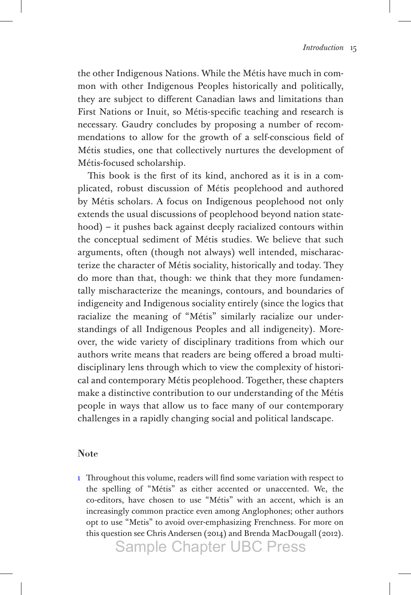<span id="page-15-0"></span>the other Indigenous Nations. While the Métis have much in common with other Indigenous Peoples historically and politically, they are subject to different Canadian laws and limitations than First Nations or Inuit, so Métis-specific teaching and research is necessary. Gaudry concludes by proposing a number of recommendations to allow for the growth of a self-conscious field of Métis studies, one that collectively nurtures the development of Métis-focused scholarship.

This book is the first of its kind, anchored as it is in a complicated, robust discussion of Métis peoplehood and authored by Métis scholars. A focus on Indigenous peoplehood not only extends the usual discussions of peoplehood beyond nation statehood) – it pushes back against deeply racialized contours within the conceptual sediment of Métis studies. We believe that such arguments, often (though not always) well intended, mischaracterize the character of Métis sociality, historically and today. They do more than that, though: we think that they more fundamentally mischaracterize the meanings, contours, and boundaries of indigeneity and Indigenous sociality entirely (since the logics that racialize the meaning of "Métis" similarly racialize our understandings of all Indigenous Peoples and all indigeneity). Moreover, the wide variety of disciplinary traditions from which our authors write means that readers are being offered a broad multidisciplinary lens through which to view the complexity of historical and contemporary Métis peoplehood. Together, these chapters make a distinctive contribution to our understanding of the Métis people in ways that allow us to face many of our contemporary challenges in a rapidly changing social and political landscape.

#### Note

[1](#page-3-0) Throughout this volume, readers will find some variation with respect to the spelling of "Métis" as either accented or unaccented. We, the co-editors, have chosen to use "Métis" with an accent, which is an increasingly common practice even among Anglophones; other authors opt to use "Metis" to avoid over-emphasizing Frenchness. For more on this question see Chris Andersen (2014) and Brenda MacDougall (2012).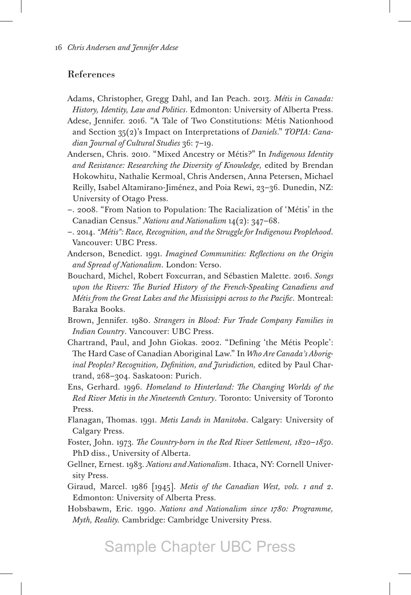#### References

- Adams, Christopher, Gregg Dahl, and Ian Peach. 2013. *Métis in Canada: History, Identity, Law and Politics*. Edmonton: University of Alberta Press.
- Adese, Jennifer. 2016. "A Tale of Two Constitutions: Métis Nationhood and Section 35(2)'s Impact on Interpretations of *Daniels*." *TOPIA: Canadian Journal of Cultural Studies* 36: 7–19.
- Andersen, Chris. 2010. "Mixed Ancestry or Métis?" In *Indigenous Identity and Resistance: Researching the Diversity of Knowledge,* edited by Brendan Hokowhitu, Nathalie Kermoal, Chris Andersen, Anna Petersen, Michael Reilly, Isabel Altamirano-Jiménez, and Poia Rewi, 23–36. Dunedin, NZ: University of Otago Press.
- –. 2008. "From Nation to Population: The Racialization of 'Métis' in the Canadian Census." *Nations and Nationalism* 14(2): 347–68.
- –. 2014. *"Métis": Race, Recognition, and the Struggle for Indigenous Peoplehood*. Vancouver: UBC Press.
- Anderson, Benedict. 1991. *Imagined Communities: Reflections on the Origin and Spread of Nationalism*. London: Verso.
- Bouchard, Michel, Robert Foxcurran, and Sébastien Malette. 2016. *Songs upon the Rivers: The Buried History of the French-Speaking Canadiens and Métis from the Great Lakes and the Mississippi across to the Pacific*. Montreal: Baraka Books.
- Brown, Jennifer. 1980. *Strangers in Blood: Fur Trade Company Families in Indian Country*. Vancouver: UBC Press.
- Chartrand, Paul, and John Giokas. 2002. "Defining 'the Métis People': The Hard Case of Canadian Aboriginal Law." In *Who Are Canada's Aboriginal Peoples? Recognition, Definition, and Jurisdiction,* edited by Paul Chartrand, 268–304. Saskatoon: Purich.
- Ens, Gerhard. 1996. *Homeland to Hinterland: The Changing Worlds of the Red River Metis in the Nineteenth Century*. Toronto: University of Toronto Press.
- Flanagan, Thomas. 1991. *Metis Lands in Manitoba*. Calgary: University of Calgary Press.
- Foster, John. 1973. *The Country-born in the Red River Settlement, 1820*–*1850*. PhD diss., University of Alberta.

Gellner, Ernest. 1983. *Nations and Nationalism*. Ithaca, NY: Cornell University Press.

- Giraud, Marcel. 1986 [1945]. *Metis of the Canadian West, vols. 1 and 2*. Edmonton: University of Alberta Press.
- Hobsbawm, Eric. 1990. *Nations and Nationalism since 1780: Programme, Myth, Reality.* Cambridge: Cambridge University Press.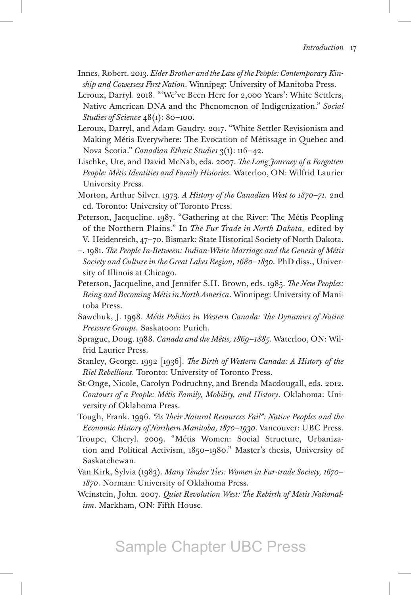- Innes, Robert. 2013. *Elder Brother and the Law of the People: Contemporary Kinship and Cowessess First Nation*. Winnipeg: University of Manitoba Press.
- Leroux, Darryl. 2018. "'We've Been Here for 2,000 Years': White Settlers, Native American DNA and the Phenomenon of Indigenization." *Social Studies of Science* 48(1): 80–100.
- Leroux, Darryl, and Adam Gaudry. 2017. "White Settler Revisionism and Making Métis Everywhere: The Evocation of Métissage in Quebec and Nova Scotia." *Canadian Ethnic Studies* 3(1): 116–42.
- Lischke, Ute, and David McNab, eds. 2007. *The Long Journey of a Forgotten People: Métis Identities and Family Histories.* Waterloo, ON: Wilfrid Laurier University Press.
- Morton, Arthur Silver. 1973. *A History of the Canadian West to 1870*–*71.* 2nd ed. Toronto: University of Toronto Press.
- Peterson, Jacqueline. 1987. "Gathering at the River: The Métis Peopling of the Northern Plains." In *The Fur Trade in North Dakota,* edited by V. Heidenreich, 47–70. Bismark: State Historical Society of North Dakota.
- –. 1981. *The People In-Between: Indian-White Marriage and the Genesis of Métis Society and Culture in the Great Lakes Region, 1680*–*1830.* PhD diss., University of Illinois at Chicago.
- Peterson, Jacqueline, and Jennifer S.H. Brown, eds. 1985. *The New Peoples: Being and Becoming Métis in North America*. Winnipeg: University of Manitoba Press.
- Sawchuk, J. 1998. *Métis Politics in Western Canada: The Dynamics of Native Pressure Groups.* Saskatoon: Purich.
- Sprague, Doug. 1988. *Canada and the Métis, 1869–1885*. Waterloo, ON: Wilfrid Laurier Press.
- Stanley, George. 1992 [1936]. *The Birth of Western Canada: A History of the Riel Rebellions*. Toronto: University of Toronto Press.
- St-Onge, Nicole, Carolyn Podruchny, and Brenda Macdougall, eds. 2012. *Contours of a People: Métis Family, Mobility, and History*. Oklahoma: University of Oklahoma Press.
- Tough, Frank. 1996. *"As Their Natural Resources Fail": Native Peoples and the Economic History of Northern Manitoba, 1870–1930*. Vancouver: UBC Press.
- Troupe, Cheryl. 2009. "Métis Women: Social Structure, Urbanization and Political Activism, 1850–1980." Master's thesis, University of Saskatchewan.
- Van Kirk, Sylvia (1983). *Many Tender Ties: Women in Fur-trade Society, 1670 1870*. Norman: University of Oklahoma Press.
- Weinstein, John. 2007. *Quiet Revolution West: The Rebirth of Metis Nationalism*. Markham, ON: Fifth House.